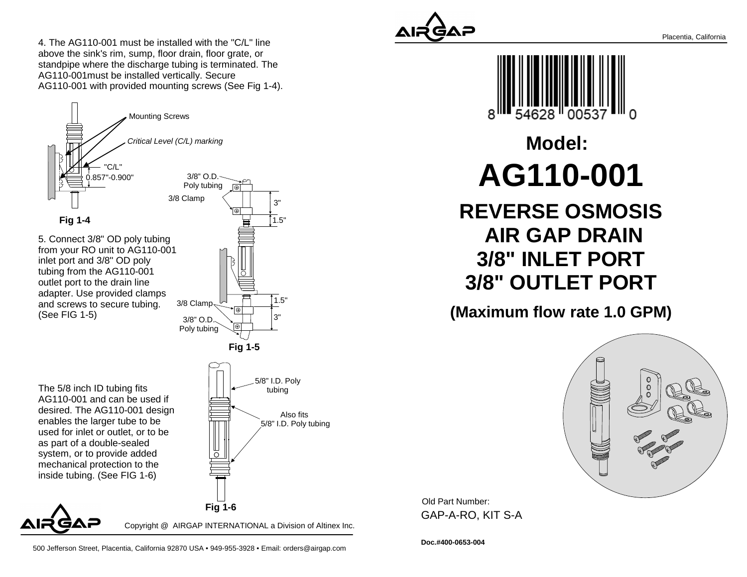4. The AG110-001 must be installed with the "C/L" lineabove the sink's rim, sump, floor drain, floor grate, or standpipe where the discharge tubing is terminated. TheAG110-001must be installed vertically. SecureAG110-001 with provided mounting screws (See Fig 1-4).





500 Jefferson Street, Placentia, California 92870 USA • 949-955-3928 • Email: orders@airgap.com





**Model:AG110-001**

 **REVERSE OSMOSIS AIR GAP DRAIN 3/8" INLET PORT3/8" OUTLET PORT**

**(Maximum flow rate 1.0 GPM)**



Old Part Number: GAP-A-RO, KIT S-A

**Doc.#400-0653-004**